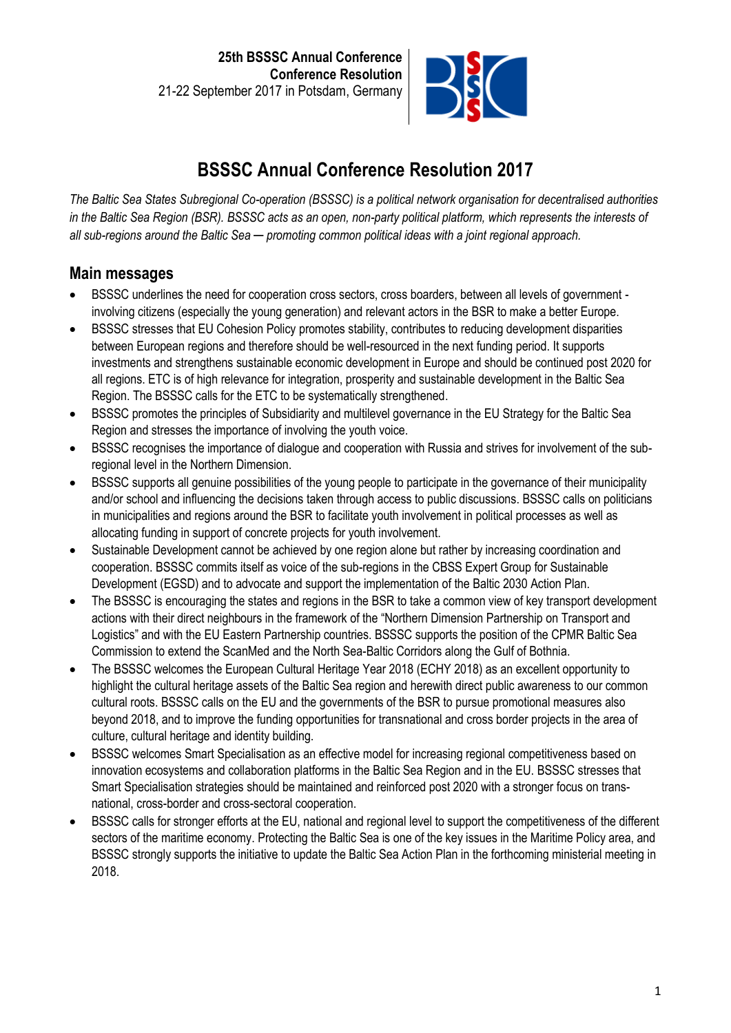

# **BSSSC Annual Conference Resolution 2017**

*The Baltic Sea States Subregional Co-operation (BSSSC) is a political network organisation for decentralised authorities in the Baltic Sea Region (BSR). BSSSC acts as an open, non-party political platform, which represents the interests of all sub-regions around the Baltic Sea ─ promoting common political ideas with a joint regional approach.*

# **Main messages**

- BSSSC underlines the need for cooperation cross sectors, cross boarders, between all levels of government involving citizens (especially the young generation) and relevant actors in the BSR to make a better Europe.
- BSSSC stresses that EU Cohesion Policy promotes stability, contributes to reducing development disparities between European regions and therefore should be well-resourced in the next funding period. It supports investments and strengthens sustainable economic development in Europe and should be continued post 2020 for all regions. ETC is of high relevance for integration, prosperity and sustainable development in the Baltic Sea Region. The BSSSC calls for the ETC to be systematically strengthened.
- BSSSC promotes the principles of Subsidiarity and multilevel governance in the EU Strategy for the Baltic Sea Region and stresses the importance of involving the youth voice.
- BSSSC recognises the importance of dialogue and cooperation with Russia and strives for involvement of the subregional level in the Northern Dimension.
- BSSSC supports all genuine possibilities of the young people to participate in the governance of their municipality and/or school and influencing the decisions taken through access to public discussions. BSSSC calls on politicians in municipalities and regions around the BSR to facilitate youth involvement in political processes as well as allocating funding in support of concrete projects for youth involvement.
- Sustainable Development cannot be achieved by one region alone but rather by increasing coordination and cooperation. BSSSC commits itself as voice of the sub-regions in the CBSS Expert Group for Sustainable Development (EGSD) and to advocate and support the implementation of the Baltic 2030 Action Plan.
- The BSSSC is encouraging the states and regions in the BSR to take a common view of key transport development actions with their direct neighbours in the framework of the "Northern Dimension Partnership on Transport and Logistics" and with the EU Eastern Partnership countries. BSSSC supports the position of the CPMR Baltic Sea Commission to extend the ScanMed and the North Sea-Baltic Corridors along the Gulf of Bothnia.
- The BSSSC welcomes the European Cultural Heritage Year 2018 (ECHY 2018) as an excellent opportunity to highlight the cultural heritage assets of the Baltic Sea region and herewith direct public awareness to our common cultural roots. BSSSC calls on the EU and the governments of the BSR to pursue promotional measures also beyond 2018, and to improve the funding opportunities for transnational and cross border projects in the area of culture, cultural heritage and identity building.
- BSSSC welcomes Smart Specialisation as an effective model for increasing regional competitiveness based on innovation ecosystems and collaboration platforms in the Baltic Sea Region and in the EU. BSSSC stresses that Smart Specialisation strategies should be maintained and reinforced post 2020 with a stronger focus on transnational, cross-border and cross-sectoral cooperation.
- BSSSC calls for stronger efforts at the EU, national and regional level to support the competitiveness of the different sectors of the maritime economy. Protecting the Baltic Sea is one of the key issues in the Maritime Policy area, and BSSSC strongly supports the initiative to update the Baltic Sea Action Plan in the forthcoming ministerial meeting in 2018.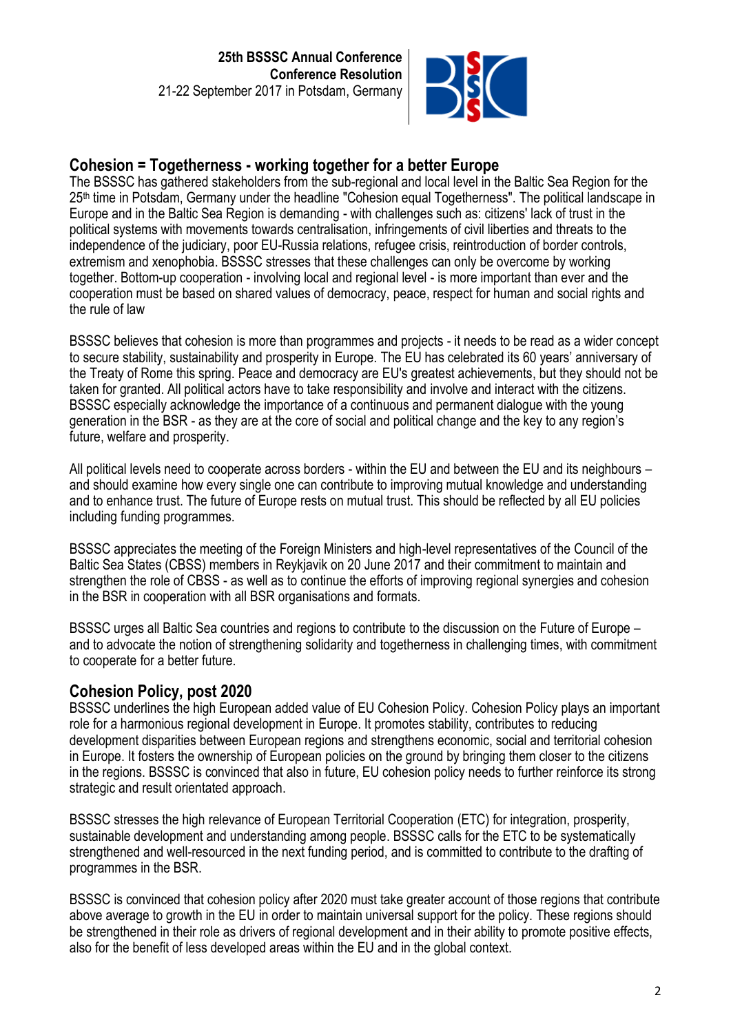

## **Cohesion = Togetherness - working together for a better Europe**

The BSSSC has gathered stakeholders from the sub-regional and local level in the Baltic Sea Region for the 25<sup>th</sup> time in Potsdam, Germany under the headline "Cohesion equal Togetherness". The political landscape in Europe and in the Baltic Sea Region is demanding - with challenges such as: citizens' lack of trust in the political systems with movements towards centralisation, infringements of civil liberties and threats to the independence of the judiciary, poor EU-Russia relations, refugee crisis, reintroduction of border controls, extremism and xenophobia. BSSSC stresses that these challenges can only be overcome by working together. Bottom-up cooperation - involving local and regional level - is more important than ever and the cooperation must be based on shared values of democracy, peace, respect for human and social rights and the rule of law

BSSSC believes that cohesion is more than programmes and projects - it needs to be read as a wider concept to secure stability, sustainability and prosperity in Europe. The EU has celebrated its 60 years' anniversary of the Treaty of Rome this spring. Peace and democracy are EU's greatest achievements, but they should not be taken for granted. All political actors have to take responsibility and involve and interact with the citizens. BSSSC especially acknowledge the importance of a continuous and permanent dialogue with the young generation in the BSR - as they are at the core of social and political change and the key to any region's future, welfare and prosperity.

All political levels need to cooperate across borders - within the EU and between the EU and its neighbours – and should examine how every single one can contribute to improving mutual knowledge and understanding and to enhance trust. The future of Europe rests on mutual trust. This should be reflected by all EU policies including funding programmes.

BSSSC appreciates the meeting of the Foreign Ministers and high-level representatives of the Council of the Baltic Sea States (CBSS) members in Reykjavik on 20 June 2017 and their commitment to maintain and strengthen the role of CBSS - as well as to continue the efforts of improving regional synergies and cohesion in the BSR in cooperation with all BSR organisations and formats.

BSSSC urges all Baltic Sea countries and regions to contribute to the discussion on the Future of Europe – and to advocate the notion of strengthening solidarity and togetherness in challenging times, with commitment to cooperate for a better future.

### **Cohesion Policy, post 2020**

BSSSC underlines the high European added value of EU Cohesion Policy. Cohesion Policy plays an important role for a harmonious regional development in Europe. It promotes stability, contributes to reducing development disparities between European regions and strengthens economic, social and territorial cohesion in Europe. It fosters the ownership of European policies on the ground by bringing them closer to the citizens in the regions. BSSSC is convinced that also in future, EU cohesion policy needs to further reinforce its strong strategic and result orientated approach.

BSSSC stresses the high relevance of European Territorial Cooperation (ETC) for integration, prosperity, sustainable development and understanding among people. BSSSC calls for the ETC to be systematically strengthened and well-resourced in the next funding period, and is committed to contribute to the drafting of programmes in the BSR.

BSSSC is convinced that cohesion policy after 2020 must take greater account of those regions that contribute above average to growth in the EU in order to maintain universal support for the policy. These regions should be strengthened in their role as drivers of regional development and in their ability to promote positive effects, also for the benefit of less developed areas within the EU and in the global context.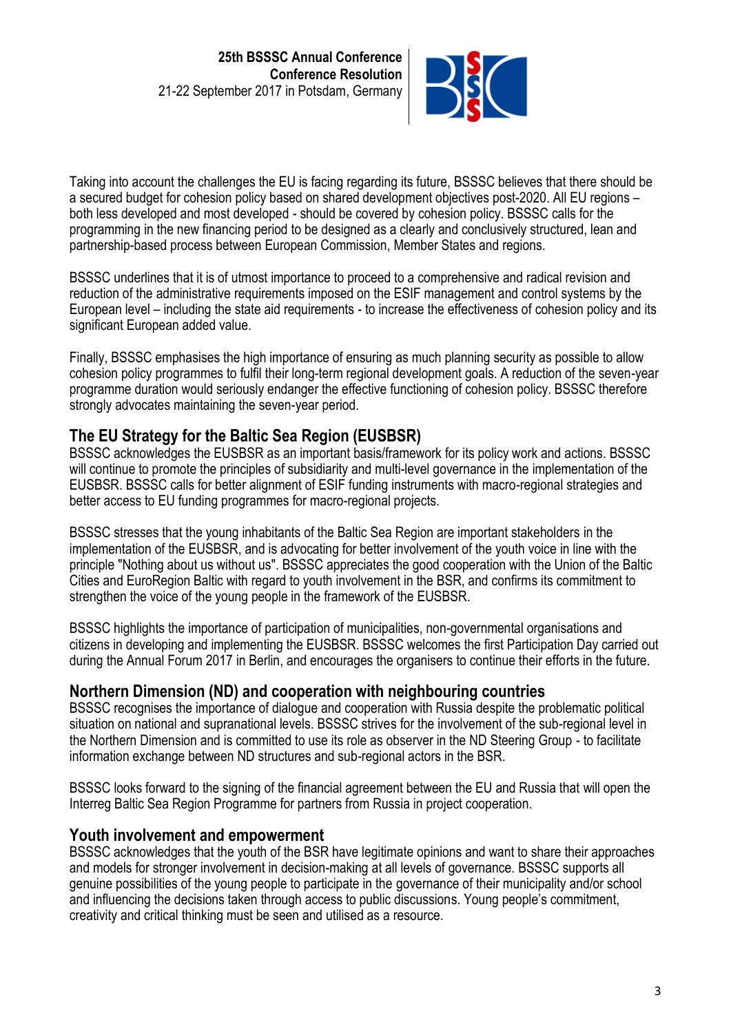

Taking into account the challenges the EU is facing regarding its future, BSSSC believes that there should be a secured budget for cohesion policy based on shared development objectives post-2020. All EU regions – both less developed and most developed - should be covered by cohesion policy. BSSSC calls for the programming in the new financing period to be designed as a clearly and conclusively structured, lean and partnership-based process between European Commission, Member States and regions.

BSSSC underlines that it is of utmost importance to proceed to a comprehensive and radical revision and reduction of the administrative requirements imposed on the ESIF management and control systems by the European level – including the state aid requirements - to increase the effectiveness of cohesion policy and its significant European added value.

Finally, BSSSC emphasises the high importance of ensuring as much planning security as possible to allow cohesion policy programmes to fulfil their long-term regional development goals. A reduction of the seven-year programme duration would seriously endanger the effective functioning of cohesion policy. BSSSC therefore strongly advocates maintaining the seven-year period.

## **The EU Strategy for the Baltic Sea Region (EUSBSR)**

BSSSC acknowledges the EUSBSR as an important basis/framework for its policy work and actions. BSSSC will continue to promote the principles of subsidiarity and multi-level governance in the implementation of the EUSBSR. BSSSC calls for better alignment of ESIF funding instruments with macro-regional strategies and better access to EU funding programmes for macro-regional projects.

BSSSC stresses that the young inhabitants of the Baltic Sea Region are important stakeholders in the implementation of the EUSBSR, and is advocating for better involvement of the youth voice in line with the principle "Nothing about us without us". BSSSC appreciates the good cooperation with the Union of the Baltic Cities and EuroRegion Baltic with regard to youth involvement in the BSR, and confirms its commitment to strengthen the voice of the young people in the framework of the EUSBSR.

BSSSC highlights the importance of participation of municipalities, non-governmental organisations and citizens in developing and implementing the EUSBSR. BSSSC welcomes the first Participation Day carried out during the Annual Forum 2017 in Berlin, and encourages the organisers to continue their efforts in the future.

### **Northern Dimension (ND) and cooperation with neighbouring countries**

BSSSC recognises the importance of dialogue and cooperation with Russia despite the problematic political situation on national and supranational levels. BSSSC strives for the involvement of the sub-regional level in the Northern Dimension and is committed to use its role as observer in the ND Steering Group - to facilitate information exchange between ND structures and sub-regional actors in the BSR.

BSSSC looks forward to the signing of the financial agreement between the EU and Russia that will open the Interreg Baltic Sea Region Programme for partners from Russia in project cooperation.

### **Youth involvement and empowerment**

BSSSC acknowledges that the youth of the BSR have legitimate opinions and want to share their approaches and models for stronger involvement in decision-making at all levels of governance. BSSSC supports all genuine possibilities of the young people to participate in the governance of their municipality and/or school and influencing the decisions taken through access to public discussions. Young people's commitment, creativity and critical thinking must be seen and utilised as a resource.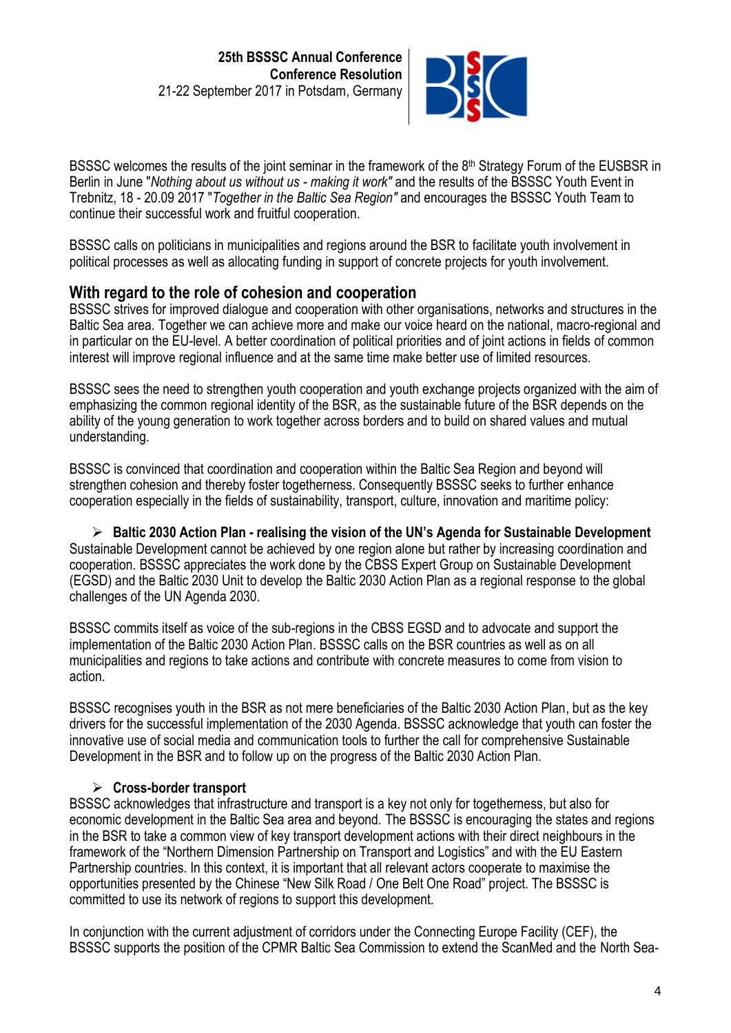

BSSSC welcomes the results of the joint seminar in the framework of the 8<sup>th</sup> Strategy Forum of the EUSBSR in Berlin in June "*Nothing about us without us - making it work"* and the results of the BSSSC Youth Event in Trebnitz, 18 - 20.09 2017 "*Together in the Baltic Sea Region"* and encourages the BSSSC Youth Team to continue their successful work and fruitful cooperation.

BSSSC calls on politicians in municipalities and regions around the BSR to facilitate youth involvement in political processes as well as allocating funding in support of concrete projects for youth involvement.

## **With regard to the role of cohesion and cooperation**

BSSSC strives for improved dialogue and cooperation with other organisations, networks and structures in the Baltic Sea area. Together we can achieve more and make our voice heard on the national, macro-regional and in particular on the EU-level. A better coordination of political priorities and of joint actions in fields of common interest will improve regional influence and at the same time make better use of limited resources.

BSSSC sees the need to strengthen youth cooperation and youth exchange projects organized with the aim of emphasizing the common regional identity of the BSR, as the sustainable future of the BSR depends on the ability of the young generation to work together across borders and to build on shared values and mutual understanding.

BSSSC is convinced that coordination and cooperation within the Baltic Sea Region and beyond will strengthen cohesion and thereby foster togetherness. Consequently BSSSC seeks to further enhance cooperation especially in the fields of sustainability, transport, culture, innovation and maritime policy:

➢ **Baltic 2030 Action Plan - realising the vision of the UN's Agenda for Sustainable Development**  Sustainable Development cannot be achieved by one region alone but rather by increasing coordination and cooperation. BSSSC appreciates the work done by the CBSS Expert Group on Sustainable Development (EGSD) and the Baltic 2030 Unit to develop the Baltic 2030 Action Plan as a regional response to the global challenges of the UN Agenda 2030.

BSSSC commits itself as voice of the sub-regions in the CBSS EGSD and to advocate and support the implementation of the Baltic 2030 Action Plan. BSSSC calls on the BSR countries as well as on all municipalities and regions to take actions and contribute with concrete measures to come from vision to action.

BSSSC recognises youth in the BSR as not mere beneficiaries of the Baltic 2030 Action Plan, but as the key drivers for the successful implementation of the 2030 Agenda. BSSSC acknowledge that youth can foster the innovative use of social media and communication tools to further the call for comprehensive Sustainable Development in the BSR and to follow up on the progress of the Baltic 2030 Action Plan.

### ➢ **Cross-border transport**

BSSSC acknowledges that infrastructure and transport is a key not only for togetherness, but also for economic development in the Baltic Sea area and beyond. The BSSSC is encouraging the states and regions in the BSR to take a common view of key transport development actions with their direct neighbours in the framework of the "Northern Dimension Partnership on Transport and Logistics" and with the EU Eastern Partnership countries. In this context, it is important that all relevant actors cooperate to maximise the opportunities presented by the Chinese "New Silk Road / One Belt One Road" project. The BSSSC is committed to use its network of regions to support this development.

In conjunction with the current adjustment of corridors under the Connecting Europe Facility (CEF), the BSSSC supports the position of the CPMR Baltic Sea Commission to extend the ScanMed and the North Sea-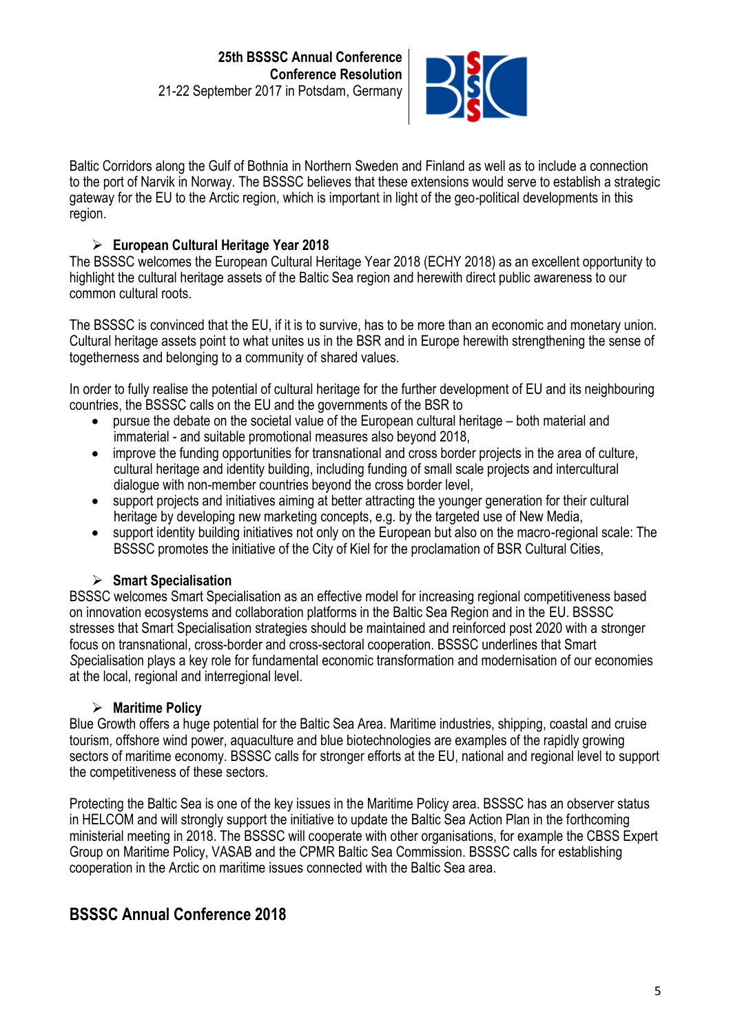

Baltic Corridors along the Gulf of Bothnia in Northern Sweden and Finland as well as to include a connection to the port of Narvik in Norway. The BSSSC believes that these extensions would serve to establish a strategic gateway for the EU to the Arctic region, which is important in light of the geo-political developments in this region.

#### ➢ **European Cultural Heritage Year 2018**

The BSSSC welcomes the European Cultural Heritage Year 2018 (ECHY 2018) as an excellent opportunity to highlight the cultural heritage assets of the Baltic Sea region and herewith direct public awareness to our common cultural roots.

The BSSSC is convinced that the EU, if it is to survive, has to be more than an economic and monetary union. Cultural heritage assets point to what unites us in the BSR and in Europe herewith strengthening the sense of togetherness and belonging to a community of shared values.

In order to fully realise the potential of cultural heritage for the further development of EU and its neighbouring countries, the BSSSC calls on the EU and the governments of the BSR to

- pursue the debate on the societal value of the European cultural heritage both material and immaterial - and suitable promotional measures also beyond 2018,
- improve the funding opportunities for transnational and cross border projects in the area of culture, cultural heritage and identity building, including funding of small scale projects and intercultural dialogue with non-member countries beyond the cross border level,
- support projects and initiatives aiming at better attracting the younger generation for their cultural heritage by developing new marketing concepts, e.g. by the targeted use of New Media,
- support identity building initiatives not only on the European but also on the macro-regional scale: The BSSSC promotes the initiative of the City of Kiel for the proclamation of BSR Cultural Cities,

#### ➢ **Smart Specialisation**

BSSSC welcomes Smart Specialisation as an effective model for increasing regional competitiveness based on innovation ecosystems and collaboration platforms in the Baltic Sea Region and in the EU. BSSSC stresses that Smart Specialisation strategies should be maintained and reinforced post 2020 with a stronger focus on transnational, cross-border and cross-sectoral cooperation. BSSSC underlines that Smart *S*pecialisation plays a key role for fundamental economic transformation and modernisation of our economies at the local, regional and interregional level.

#### ➢ **Maritime Policy**

Blue Growth offers a huge potential for the Baltic Sea Area. Maritime industries, shipping, coastal and cruise tourism, offshore wind power, aquaculture and blue biotechnologies are examples of the rapidly growing sectors of maritime economy. BSSSC calls for stronger efforts at the EU, national and regional level to support the competitiveness of these sectors.

Protecting the Baltic Sea is one of the key issues in the Maritime Policy area. BSSSC has an observer status in HELCOM and will strongly support the initiative to update the Baltic Sea Action Plan in the forthcoming ministerial meeting in 2018. The BSSSC will cooperate with other organisations, for example the CBSS Expert Group on Maritime Policy, VASAB and the CPMR Baltic Sea Commission. BSSSC calls for establishing cooperation in the Arctic on maritime issues connected with the Baltic Sea area.

# **BSSSC Annual Conference 2018**